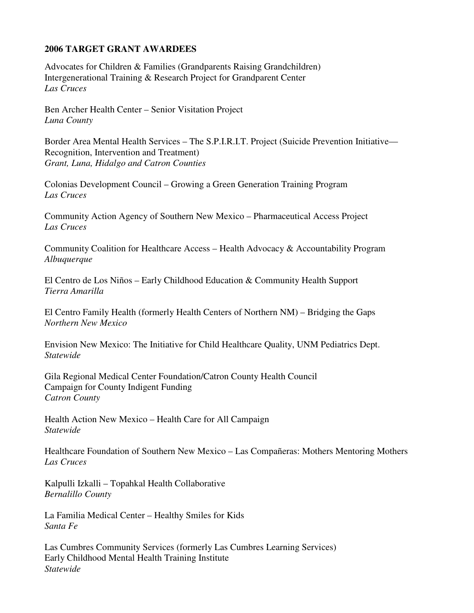## **2006 TARGET GRANT AWARDEES**

Advocates for Children & Families (Grandparents Raising Grandchildren) Intergenerational Training & Research Project for Grandparent Center *Las Cruces* 

Ben Archer Health Center – Senior Visitation Project *Luna County* 

Border Area Mental Health Services – The S.P.I.R.I.T. Project (Suicide Prevention Initiative— Recognition, Intervention and Treatment) *Grant, Luna, Hidalgo and Catron Counties* 

Colonias Development Council – Growing a Green Generation Training Program *Las Cruces* 

Community Action Agency of Southern New Mexico – Pharmaceutical Access Project *Las Cruces* 

Community Coalition for Healthcare Access – Health Advocacy & Accountability Program *Albuquerque* 

El Centro de Los Niños – Early Childhood Education & Community Health Support *Tierra Amarilla* 

El Centro Family Health (formerly Health Centers of Northern NM) – Bridging the Gaps *Northern New Mexico* 

Envision New Mexico: The Initiative for Child Healthcare Quality, UNM Pediatrics Dept. *Statewide* 

Gila Regional Medical Center Foundation/Catron County Health Council Campaign for County Indigent Funding *Catron County* 

Health Action New Mexico – Health Care for All Campaign *Statewide* 

Healthcare Foundation of Southern New Mexico – Las Compañeras: Mothers Mentoring Mothers *Las Cruces* 

Kalpulli Izkalli – Topahkal Health Collaborative *Bernalillo County* 

La Familia Medical Center – Healthy Smiles for Kids *Santa Fe* 

Las Cumbres Community Services (formerly Las Cumbres Learning Services) Early Childhood Mental Health Training Institute *Statewide*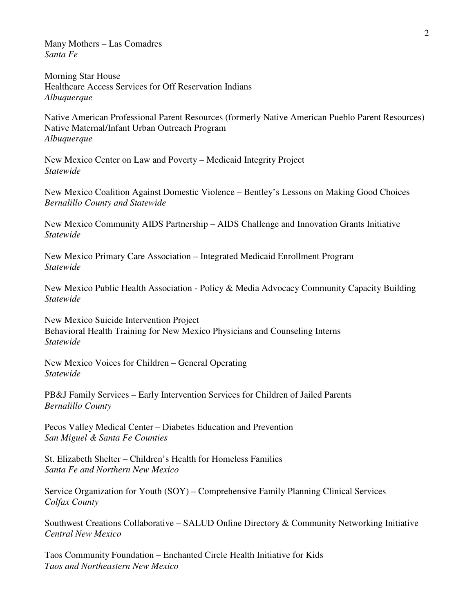Many Mothers – Las Comadres *Santa Fe* 

Morning Star House Healthcare Access Services for Off Reservation Indians *Albuquerque* 

Native American Professional Parent Resources (formerly Native American Pueblo Parent Resources) Native Maternal/Infant Urban Outreach Program *Albuquerque* 

New Mexico Center on Law and Poverty – Medicaid Integrity Project *Statewide* 

New Mexico Coalition Against Domestic Violence – Bentley's Lessons on Making Good Choices *Bernalillo County and Statewide* 

New Mexico Community AIDS Partnership – AIDS Challenge and Innovation Grants Initiative *Statewide* 

New Mexico Primary Care Association – Integrated Medicaid Enrollment Program *Statewide* 

New Mexico Public Health Association - Policy & Media Advocacy Community Capacity Building *Statewide* 

New Mexico Suicide Intervention Project Behavioral Health Training for New Mexico Physicians and Counseling Interns *Statewide* 

New Mexico Voices for Children – General Operating *Statewide* 

PB&J Family Services – Early Intervention Services for Children of Jailed Parents *Bernalillo County* 

Pecos Valley Medical Center – Diabetes Education and Prevention *San Miguel & Santa Fe Counties* 

St. Elizabeth Shelter – Children's Health for Homeless Families *Santa Fe and Northern New Mexico* 

Service Organization for Youth (SOY) – Comprehensive Family Planning Clinical Services *Colfax County* 

Southwest Creations Collaborative – SALUD Online Directory & Community Networking Initiative *Central New Mexico* 

Taos Community Foundation – Enchanted Circle Health Initiative for Kids *Taos and Northeastern New Mexico*